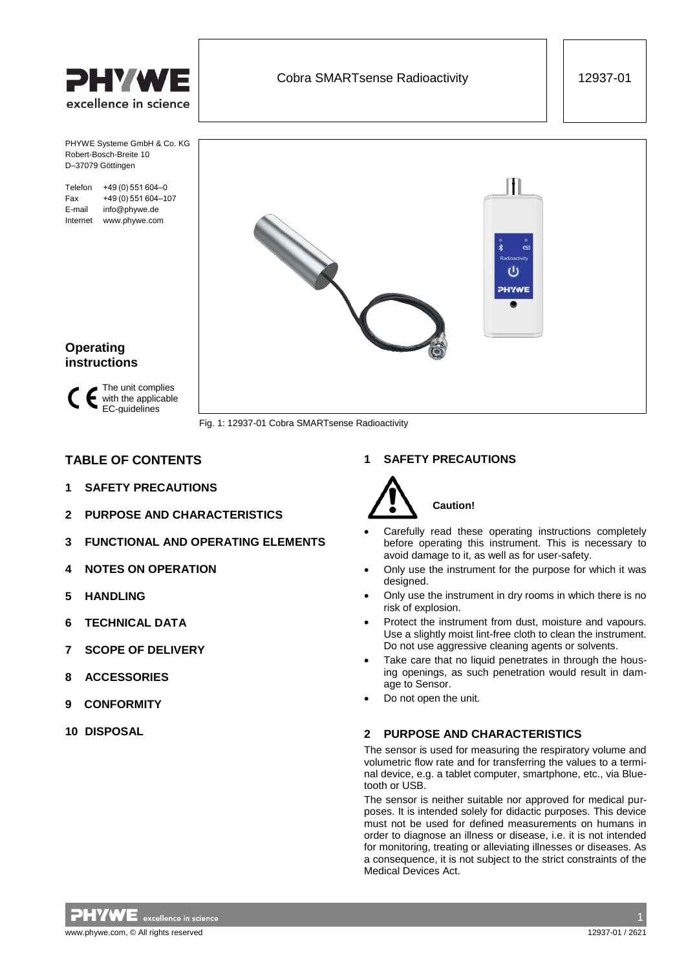

Robert-Bosch-Breite 10 D–37079 Göttingen

E-mail info@phywe.de Internet www.phywe.com



Fig. 1: 12937-01 Cobra SMARTsense Radioactivity

# **TABLE OF CONTENTS**

EC-guidelines

- **1 [SAFETY PRECAUTIONS](#page-0-0)**
- **2 [PURPOSE AND CHARACTERISTICS](#page-0-1)**
- **3 [FUNCTIONAL AND OPERATING ELEMENTS](#page-1-0)**
- **4 [NOTES ON OPERATION](#page-1-1)**
- **5 [HANDLING](#page-1-2)**

**Operating instructions**

- **6 [TECHNICAL DATA](#page-2-0)**
- **7 [SCOPE OF DELIVERY](#page-2-1)**
- **8 [ACCESSORIES](#page-2-2)**
- **[9 CONFORMITY](#page-2-3)**
- **10 [DISPOSAL](#page-2-4)**

## <span id="page-0-0"></span>**1 SAFETY PRECAUTIONS**



 Carefully read these operating instructions completely before operating this instrument. This is necessary to avoid damage to it, as well as for user-safety.

- Only use the instrument for the purpose for which it was desianed.
- Only use the instrument in dry rooms in which there is no risk of explosion.
- Protect the instrument from dust, moisture and vapours. Use a slightly moist lint-free cloth to clean the instrument. Do not use aggressive cleaning agents or solvents.
- Take care that no liquid penetrates in through the housing openings, as such penetration would result in damage to Sensor.
- <span id="page-0-1"></span>Do not open the unit.

## **2 PURPOSE AND CHARACTERISTICS**

The sensor is used for measuring the respiratory volume and volumetric flow rate and for transferring the values to a terminal device, e.g. a tablet computer, smartphone, etc., via Bluetooth or USB.

The sensor is neither suitable nor approved for medical purposes. It is intended solely for didactic purposes. This device must not be used for defined measurements on humans in order to diagnose an illness or disease, i.e. it is not intended for monitoring, treating or alleviating illnesses or diseases. As a consequence, it is not subject to the strict constraints of the Medical Devices Act.

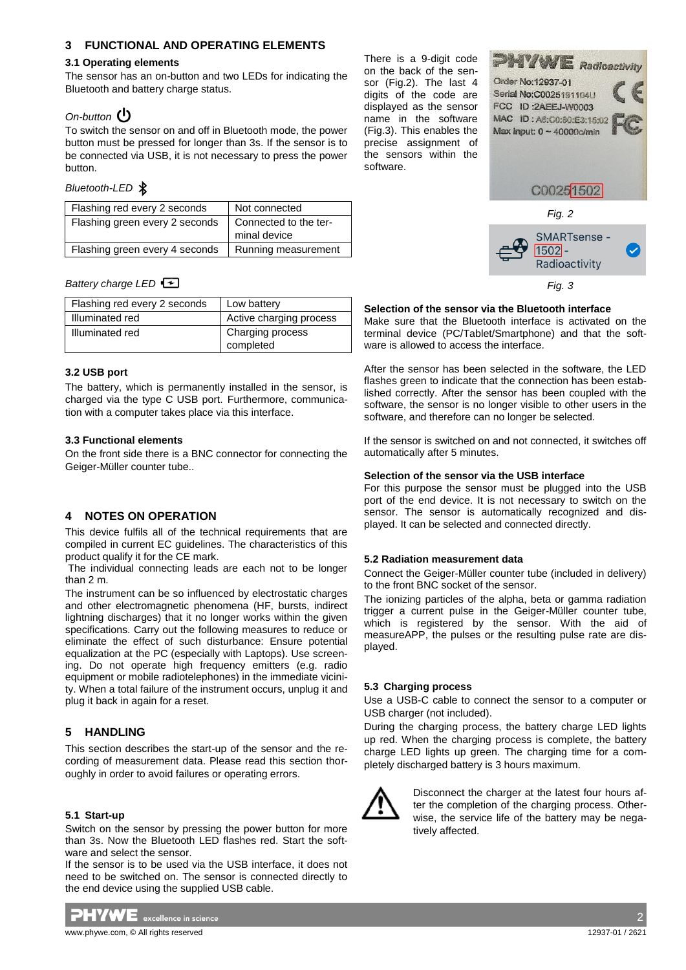## <span id="page-1-0"></span>**3 FUNCTIONAL AND OPERATING ELEMENTS**

#### **3.1 Operating elements**

The sensor has an on-button and two LEDs for indicating the Bluetooth and battery charge status.

## *On-button*

To switch the sensor on and off in Bluetooth mode, the power button must be pressed for longer than 3s. If the sensor is to be connected via USB, it is not necessary to press the power button.

#### *Bluetooth-LED*

| Flashing red every 2 seconds   | Not connected         |  |
|--------------------------------|-----------------------|--|
| Flashing green every 2 seconds | Connected to the ter- |  |
|                                | minal device          |  |
| Flashing green every 4 seconds | Running measurement   |  |

#### *Battery charge LED*

| Flashing red every 2 seconds | Low battery                   |
|------------------------------|-------------------------------|
| Illuminated red              | Active charging process       |
| Illuminated red              | Charging process<br>completed |

#### **3.2 USB port**

The battery, which is permanently installed in the sensor, is charged via the type C USB port. Furthermore, communication with a computer takes place via this interface.

#### **3.3 Functional elements**

On the front side there is a BNC connector for connecting the Geiger-Müller counter tube..

# <span id="page-1-1"></span>**4 NOTES ON OPERATION**

This device fulfils all of the technical requirements that are compiled in current EC guidelines. The characteristics of this product qualify it for the CE mark.

The individual connecting leads are each not to be longer than 2 m.

The instrument can be so influenced by electrostatic charges and other electromagnetic phenomena (HF, bursts, indirect lightning discharges) that it no longer works within the given specifications. Carry out the following measures to reduce or eliminate the effect of such disturbance: Ensure potential equalization at the PC (especially with Laptops). Use screening. Do not operate high frequency emitters (e.g. radio equipment or mobile radiotelephones) in the immediate vicinity. When a total failure of the instrument occurs, unplug it and plug it back in again for a reset.

## <span id="page-1-2"></span>**5 HANDLING**

This section describes the start-up of the sensor and the recording of measurement data. Please read this section thoroughly in order to avoid failures or operating errors.

#### **5.1 Start-up**

Switch on the sensor by pressing the power button for more than 3s. Now the Bluetooth LED flashes red. Start the software and select the sensor.

If the sensor is to be used via the USB interface, it does not need to be switched on. The sensor is connected directly to the end device using the supplied USB cable.



There is a 9-digit code on the back of the sensor (Fig.2). The last 4 digits of the code are displayed as the sensor name in the software (Fig.3). This enables the precise assignment of the sensors within the software.





#### **Selection of the sensor via the Bluetooth interface**

Make sure that the Bluetooth interface is activated on the terminal device (PC/Tablet/Smartphone) and that the software is allowed to access the interface.

After the sensor has been selected in the software, the LED flashes green to indicate that the connection has been established correctly. After the sensor has been coupled with the software, the sensor is no longer visible to other users in the software, and therefore can no longer be selected.

If the sensor is switched on and not connected, it switches off automatically after 5 minutes.

#### **Selection of the sensor via the USB interface**

For this purpose the sensor must be plugged into the USB port of the end device. It is not necessary to switch on the sensor. The sensor is automatically recognized and displayed. It can be selected and connected directly.

#### **5.2 Radiation measurement data**

Connect the Geiger-Müller counter tube (included in delivery) to the front BNC socket of the sensor.

The ionizing particles of the alpha, beta or gamma radiation trigger a current pulse in the Geiger-Müller counter tube, which is registered by the sensor. With the aid of measureAPP, the pulses or the resulting pulse rate are displayed.

## **5.3 Charging process**

Use a USB-C cable to connect the sensor to a computer or USB charger (not included).

During the charging process, the battery charge LED lights up red. When the charging process is complete, the battery charge LED lights up green. The charging time for a completely discharged battery is 3 hours maximum.



Disconnect the charger at the latest four hours after the completion of the charging process. Otherwise, the service life of the battery may be negatively affected.